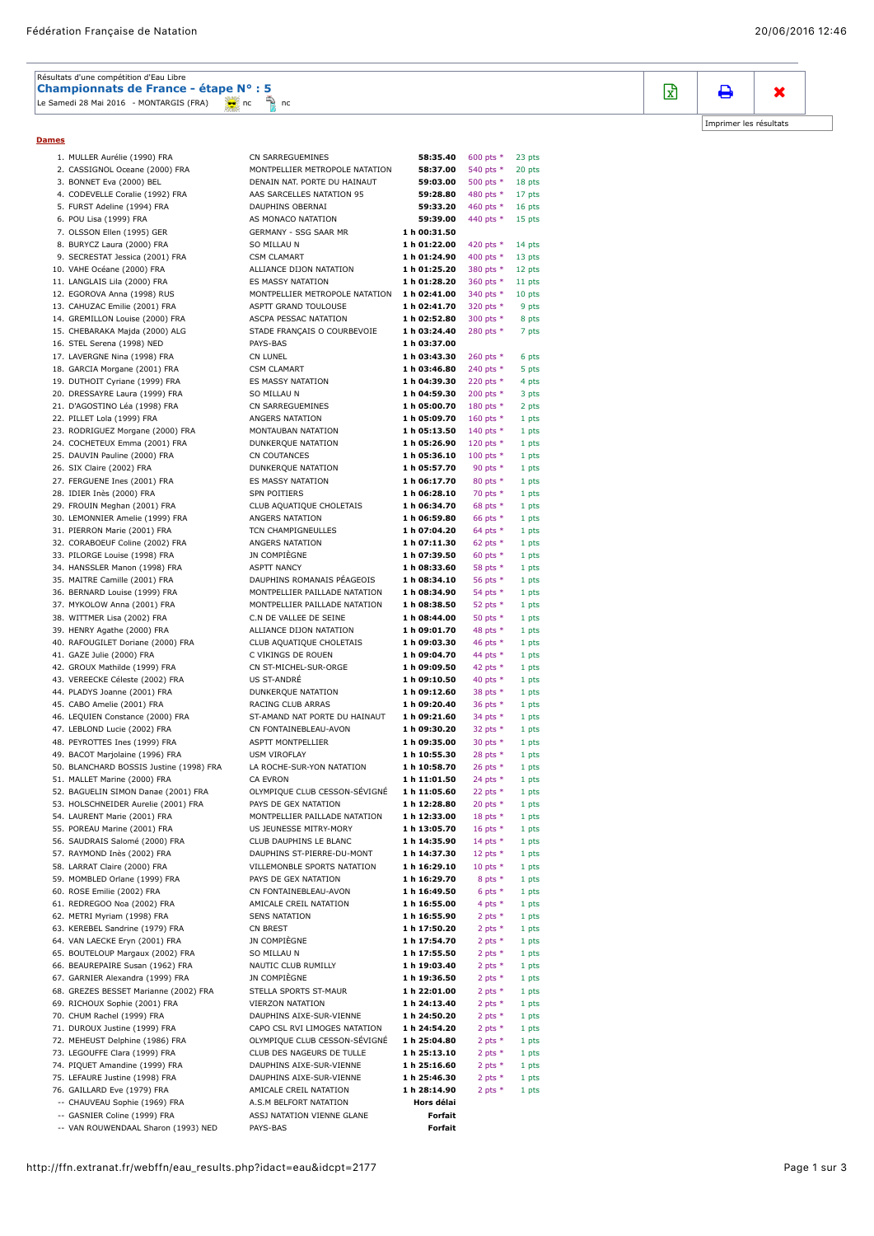| Résultats d'une compétition d'Eau Libre      |  |  |  |
|----------------------------------------------|--|--|--|
| Championnats de France - étape N° : 5        |  |  |  |
| Le Samedi 28 Mai 2016 - MONTARGIS (FRA) 2016 |  |  |  |

**Dames**

| 1. MULLER Aurélie (1990) FRA                                         | CN SARREGUEMINES                                      | 58:35.40                     | 600 pts *                | 23 pts         |
|----------------------------------------------------------------------|-------------------------------------------------------|------------------------------|--------------------------|----------------|
| 2. CASSIGNOL Oceane (2000) FRA                                       | MONTPELLIER METROPOLE NATATION                        | 58:37.00                     | 540 pts *                | 20 pts         |
| 3. BONNET Eva (2000) BEL                                             | DENAIN NAT. PORTE DU HAINAUT                          | 59:03.00                     | 500 pts *                | 18 pts         |
| 4. CODEVELLE Coralie (1992) FRA                                      | AAS SARCELLES NATATION 95                             | 59:28.80                     | 480 pts *                | 17 pts         |
| 5. FURST Adeline (1994) FRA                                          | DAUPHINS OBERNAI                                      | 59:33.20                     | 460 pts *                | 16 pts         |
| 6. POU Lisa (1999) FRA                                               | AS MONACO NATATION                                    | 59:39.00                     | 440 pts *                | 15 pts         |
| 7. OLSSON Ellen (1995) GER<br>8. BURYCZ Laura (2000) FRA             | GERMANY - SSG SAAR MR<br>SO MILLAU N                  | 1 h 00:31.50<br>1 h 01:22.00 | 420 pts *                | 14 pts         |
| 9. SECRESTAT Jessica (2001) FRA                                      | <b>CSM CLAMART</b>                                    | 1 h 01:24.90                 | 400 pts *                | 13 pts         |
| 10. VAHE Océane (2000) FRA                                           | ALLIANCE DIJON NATATION                               | 1 h 01:25.20                 | 380 pts *                | 12 pts         |
| 11. LANGLAIS Lila (2000) FRA                                         | ES MASSY NATATION                                     | 1 h 01:28.20                 | 360 pts *                | 11 pts         |
| 12. EGOROVA Anna (1998) RUS                                          | MONTPELLIER METROPOLE NATATION                        | 1 h 02:41.00                 | 340 pts *                | 10 pts         |
| 13. CAHUZAC Emilie (2001) FRA                                        | ASPTT GRAND TOULOUSE                                  | 1 h 02:41.70                 | 320 pts *                | 9 pts          |
| 14. GREMILLON Louise (2000) FRA                                      | ASCPA PESSAC NATATION                                 | 1 h 02:52.80                 | 300 pts *                | 8 pts          |
| 15. CHEBARAKA Majda (2000) ALG                                       | STADE FRANÇAIS O COURBEVOIE                           | 1 h 03:24.40                 | 280 pts *                | 7 pts          |
| 16. STEL Serena (1998) NED                                           | PAYS-BAS                                              | 1 h 03:37.00                 |                          |                |
| 17. LAVERGNE Nina (1998) FRA                                         | <b>CN LUNEL</b>                                       | 1 h 03:43.30                 | 260 pts *                | 6 pts          |
| 18. GARCIA Morgane (2001) FRA                                        | <b>CSM CLAMART</b>                                    | 1 h 03:46.80                 | 240 pts *                | 5 pts          |
| 19. DUTHOIT Cyriane (1999) FRA                                       | ES MASSY NATATION                                     | 1 h 04:39.30                 | 220 pts *                | 4 pts          |
| 20. DRESSAYRE Laura (1999) FRA                                       | <b>SO MILLAU N</b>                                    | 1 h 04:59.30                 | 200 pts *                | 3 pts          |
| 21. D'AGOSTINO Léa (1998) FRA                                        | CN SARREGUEMINES                                      | 1 h 05:00.70                 | 180 pts *                | 2 pts          |
| 22. PILLET Lola (1999) FRA                                           | ANGERS NATATION                                       | 1 h 05:09.70                 | 160 pts *                | 1 pts          |
| 23. RODRIGUEZ Morgane (2000) FRA                                     | MONTAUBAN NATATION                                    | 1 h 05:13.50                 | 140 pts *                | 1 pts          |
| 24. COCHETEUX Emma (2001) FRA                                        | DUNKERQUE NATATION<br><b>CN COUTANCES</b>             | 1 h 05:26.90<br>1 h 05:36.10 | 120 pts *<br>100 pts $*$ | 1 pts          |
| 25. DAUVIN Pauline (2000) FRA<br>26. SIX Claire (2002) FRA           | <b>DUNKERQUE NATATION</b>                             | 1 h 05:57.70                 | 90 pts $*$               | 1 pts<br>1 pts |
| 27. FERGUENE Ines (2001) FRA                                         | ES MASSY NATATION                                     | 1 h 06:17.70                 | 80 pts $*$               | 1 pts          |
| 28. IDIER Inès (2000) FRA                                            | <b>SPN POITIERS</b>                                   | 1 h 06:28.10                 | 70 pts *                 | 1 pts          |
| 29. FROUIN Meghan (2001) FRA                                         | CLUB AQUATIQUE CHOLETAIS                              | 1 h 06:34.70                 | 68 pts $*$               | 1 pts          |
| 30. LEMONNIER Amelie (1999) FRA                                      | ANGERS NATATION                                       | 1 h 06:59.80                 | 66 pts $*$               | 1 pts          |
| 31. PIERRON Marie (2001) FRA                                         | TCN CHAMPIGNEULLES                                    | 1 h 07:04.20                 | 64 pts $*$               | 1 pts          |
| 32. CORABOEUF Coline (2002) FRA                                      | ANGERS NATATION                                       | 1 h 07:11.30                 | 62 pts $*$               | 1 pts          |
| 33. PILORGE Louise (1998) FRA                                        | JN COMPIÈGNE                                          | 1 h 07:39.50                 | 60 pts $*$               | 1 pts          |
| 34. HANSSLER Manon (1998) FRA                                        | <b>ASPTT NANCY</b>                                    | 1 h 08:33.60                 | 58 pts *                 | 1 pts          |
| 35. MAITRE Camille (2001) FRA                                        | DAUPHINS ROMANAIS PÉAGEOIS                            | 1 h 08:34.10                 | 56 pts $*$               | 1 pts          |
| 36. BERNARD Louise (1999) FRA                                        | MONTPELLIER PAILLADE NATATION                         | 1 h 08:34.90                 | 54 pts *                 | 1 pts          |
| 37. MYKOLOW Anna (2001) FRA                                          | MONTPELLIER PAILLADE NATATION                         | 1 h 08:38.50                 | 52 pts $*$               | 1 pts          |
| 38. WITTMER Lisa (2002) FRA                                          | C.N DE VALLEE DE SEINE                                | 1 h 08:44.00                 | 50 pts $*$               | 1 pts          |
| 39. HENRY Agathe (2000) FRA                                          | ALLIANCE DIJON NATATION                               | 1 h 09:01.70<br>1 h 09:03.30 | 48 pts $*$               | 1 pts          |
| 40. RAFOUGILET Doriane (2000) FRA<br>41. GAZE Julie (2000) FRA       | CLUB AQUATIQUE CHOLETAIS<br>C VIKINGS DE ROUEN        | 1 h 09:04.70                 | 46 pts *<br>44 pts $*$   | 1 pts<br>1 pts |
| 42. GROUX Mathilde (1999) FRA                                        | CN ST-MICHEL-SUR-ORGE                                 | 1 h 09:09.50                 | 42 pts *                 | 1 pts          |
| 43. VEREECKE Céleste (2002) FRA                                      | <b>US ST-ANDRÉ</b>                                    | 1 h 09:10.50                 | 40 pts $*$               | 1 pts          |
| 44. PLADYS Joanne (2001) FRA                                         | DUNKERQUE NATATION                                    | 1 h 09:12.60                 | 38 pts *                 | 1 pts          |
| 45. CABO Amelie (2001) FRA                                           | RACING CLUB ARRAS                                     | 1 h 09:20.40                 | 36 pts *                 | 1 pts          |
| 46. LEQUIEN Constance (2000) FRA                                     | ST-AMAND NAT PORTE DU HAINAUT                         | 1 h 09:21.60                 | 34 pts $*$               | 1 pts          |
| 47. LEBLOND Lucie (2002) FRA                                         | CN FONTAINEBLEAU-AVON                                 | 1 h 09:30.20                 | 32 pts $*$               | 1 pts          |
| 48. PEYROTTES Ines (1999) FRA                                        | ASPTT MONTPELLIER                                     | 1 h 09:35.00                 | 30 pts $*$               | 1 pts          |
| 49. BACOT Marjolaine (1996) FRA                                      | <b>USM VIROFLAY</b>                                   | 1 h 10:55.30                 | 28 pts $*$               | 1 pts          |
| 50. BLANCHARD BOSSIS Justine (1998) FRA                              | LA ROCHE-SUR-YON NATATION                             | 1 h 10:58.70                 | 26 pts $*$               | 1 pts          |
| 51. MALLET Marine (2000) FRA                                         | <b>CA EVRON</b>                                       | 1 h 11:01.50                 | 24 pts $*$               | 1 pts          |
| 52. BAGUELIN SIMON Danae (2001) FRA                                  | OLYMPIQUE CLUB CESSON-SÉVIGNÉ                         | 1 h 11:05.60                 | 22 pts $*$               | 1 pts          |
| 53. HOLSCHNEIDER Aurelie (2001) FRA<br>54. LAURENT Marie (2001) FRA  | PAYS DE GEX NATATION<br>MONTPELLIER PAILLADE NATATION | 1 h 12:28.80<br>1 h 12:33.00 | 20 pts $*$<br>18 pts $*$ | 1 pts<br>1 pts |
| 55. POREAU Marine (2001) FRA                                         | US JEUNESSE MITRY-MORY                                | 1 h 13:05.70                 | 16 pts $*$               | 1 pts          |
| 56. SAUDRAIS Salomé (2000) FRA                                       | CLUB DAUPHINS LE BLANC                                | 1 h 14:35.90                 | 14 pts $*$               | 1 pts          |
| 57. RAYMOND Inès (2002) FRA                                          | DAUPHINS ST-PIERRE-DU-MONT                            | 1 h 14:37.30                 | 12 pts $*$               | 1 pts          |
| 58. LARRAT Claire (2000) FRA                                         | VILLEMONBLE SPORTS NATATION                           | 1 h 16:29.10                 | 10 pts $*$               | 1 pts          |
| 59. MOMBLED Orlane (1999) FRA                                        | PAYS DE GEX NATATION                                  | 1 h 16:29.70                 | 8 pts $*$                | 1 pts          |
| 60. ROSE Emilie (2002) FRA                                           | CN FONTAINEBLEAU-AVON                                 | 1 h 16:49.50                 | 6 pts $*$                | 1 pts          |
| 61. REDREGOO Noa (2002) FRA                                          | AMICALE CREIL NATATION                                | 1 h 16:55.00                 | 4 pts $*$                | 1 pts          |
| 62. METRI Myriam (1998) FRA                                          | <b>SENS NATATION</b>                                  | 1 h 16:55.90                 | 2 pts $*$                | 1 pts          |
| 63. KEREBEL Sandrine (1979) FRA                                      | CN BREST                                              | 1 h 17:50.20                 | 2 pts $*$                | 1 pts          |
| 64. VAN LAECKE Eryn (2001) FRA                                       | JN COMPIÈGNE                                          | 1 h 17:54.70                 | 2 pts $*$                | 1 pts          |
| 65. BOUTELOUP Margaux (2002) FRA<br>66. BEAUREPAIRE Susan (1962) FRA | SO MILLAU N<br>NAUTIC CLUB RUMILLY                    | 1 h 17:55.50<br>1 h 19:03.40 | 2 pts $*$<br>2 pts $*$   | 1 pts          |
| 67. GARNIER Alexandra (1999) FRA                                     | JN COMPIÈGNE                                          | 1 h 19:36.50                 | 2 pts $*$                | 1 pts<br>1 pts |
| 68. GREZES BESSET Marianne (2002) FRA                                | STELLA SPORTS ST-MAUR                                 | 1 h 22:01.00                 | 2 pts $*$                | 1 pts          |
| 69. RICHOUX Sophie (2001) FRA                                        | <b>VIERZON NATATION</b>                               | 1 h 24:13.40                 | 2 pts $*$                | 1 pts          |
| 70. CHUM Rachel (1999) FRA                                           | DAUPHINS AIXE-SUR-VIENNE                              | 1 h 24:50.20                 | 2 pts $*$                | 1 pts          |
| 71. DUROUX Justine (1999) FRA                                        | CAPO CSL RVI LIMOGES NATATION                         | 1 h 24:54.20                 | 2 pts $*$                | 1 pts          |
| 72. MEHEUST Delphine (1986) FRA                                      | OLYMPIQUE CLUB CESSON-SÉVIGNÉ                         | 1 h 25:04.80                 | 2 pts $*$                | 1 pts          |
| 73. LEGOUFFE Clara (1999) FRA                                        | CLUB DES NAGEURS DE TULLE                             | 1 h 25:13.10                 | 2 pts $*$                | 1 pts          |
| 74. PIQUET Amandine (1999) FRA                                       | DAUPHINS AIXE-SUR-VIENNE                              | 1 h 25:16.60                 | 2 pts $*$                | 1 pts          |
| 75. LEFAURE Justine (1998) FRA                                       | DAUPHINS AIXE-SUR-VIENNE                              | 1 h 25:46.30                 | 2 pts $*$                | 1 pts          |
| 76. GAILLARD Eve (1979) FRA                                          | AMICALE CREIL NATATION                                | 1 h 28:14.90                 | 2 pts $*$                | 1 pts          |
| -- CHAUVEAU Sophie (1969) FRA                                        | A.S.M BELFORT NATATION                                | Hors délai                   |                          |                |
| -- GASNIER Coline (1999) FRA                                         | ASSJ NATATION VIENNE GLANE                            | Forfait                      |                          |                |
| -- VAN ROUWENDAAL Sharon (1993) NED                                  | PAYS-BAS                                              | Forfait                      |                          |                |

## $\mathbb{R}$   $\Box$   $\Box$   $\mathbf{x}$  $\overline{\mathbf{e}}$

[Imprimer les résultats](javascript:printpage();)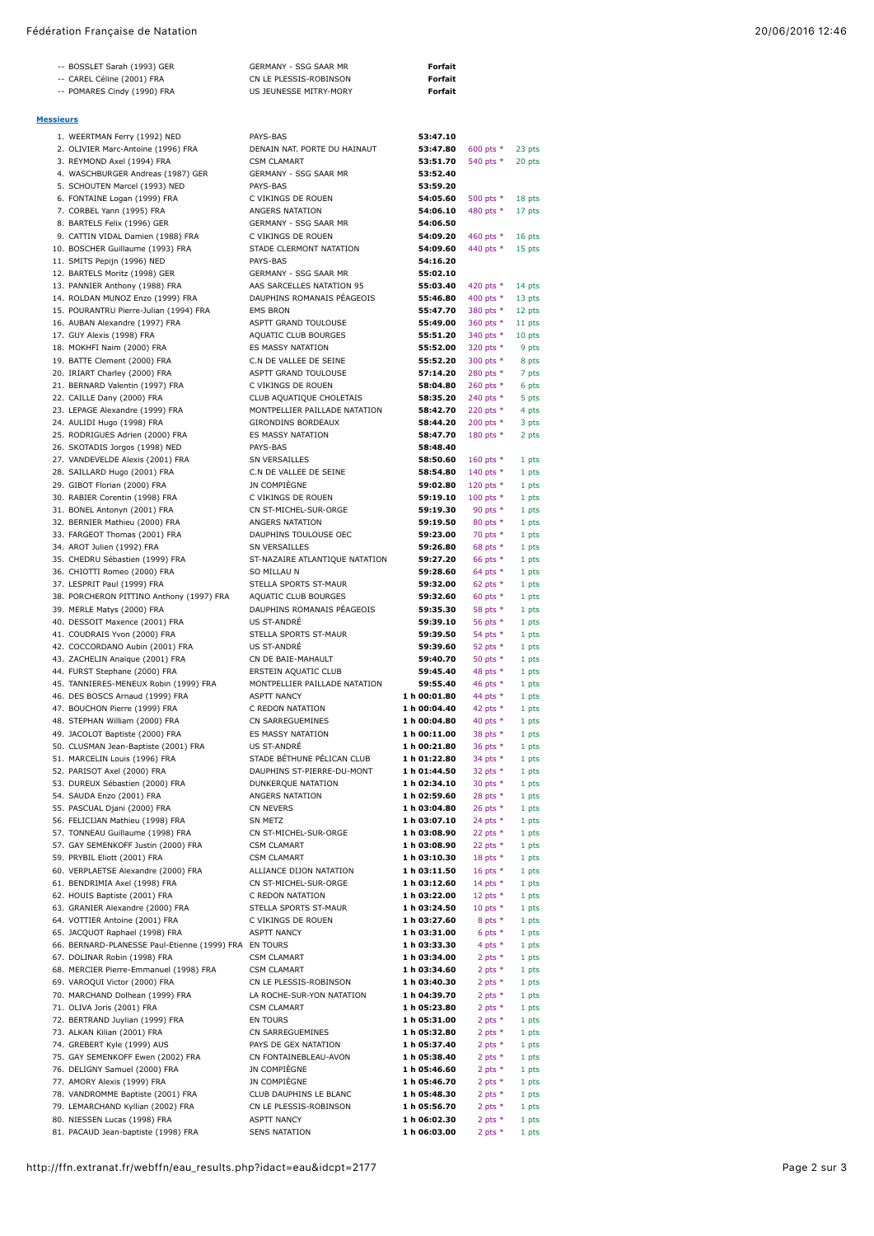## Fédération Française de Natation 20/06/2016 12:46

|                  | -- BOSSLET Sarah (1993) GER                                         | GERMANY - SSG SAAR MR                                   | Forfait                      |                           |                  |
|------------------|---------------------------------------------------------------------|---------------------------------------------------------|------------------------------|---------------------------|------------------|
|                  | -- CAREL Céline (2001) FRA                                          | CN LE PLESSIS-ROBINSON                                  | Forfait                      |                           |                  |
|                  | -- POMARES Cindy (1990) FRA                                         | US JEUNESSE MITRY-MORY                                  | Forfait                      |                           |                  |
|                  |                                                                     |                                                         |                              |                           |                  |
| <b>Messieurs</b> |                                                                     |                                                         |                              |                           |                  |
|                  | 1. WEERTMAN Ferry (1992) NED                                        | PAYS-BAS                                                | 53:47.10                     |                           |                  |
|                  | 2. OLIVIER Marc-Antoine (1996) FRA<br>3. REYMOND Axel (1994) FRA    | DENAIN NAT. PORTE DU HAINAUT<br><b>CSM CLAMART</b>      | 53:47.80<br>53:51.70         | 600 pts $*$<br>540 pts *  | 23 pts<br>20 pts |
|                  | 4. WASCHBURGER Andreas (1987) GER                                   | GERMANY - SSG SAAR MR                                   | 53:52.40                     |                           |                  |
|                  | 5. SCHOUTEN Marcel (1993) NED                                       | PAYS-BAS                                                | 53:59.20                     |                           |                  |
|                  | 6. FONTAINE Logan (1999) FRA                                        | C VIKINGS DE ROUEN                                      | 54:05.60                     | 500 pts *                 | 18 pts           |
|                  | 7. CORBEL Yann (1995) FRA<br>8. BARTELS Felix (1996) GER            | ANGERS NATATION<br>GERMANY - SSG SAAR MR                | 54:06.10<br>54:06.50         | 480 pts *                 | 17 pts           |
|                  | 9. CATTIN VIDAL Damien (1988) FRA                                   | C VIKINGS DE ROUEN                                      | 54:09.20                     | 460 pts $*$               | 16 pts           |
|                  | 10. BOSCHER Guillaume (1993) FRA                                    | STADE CLERMONT NATATION                                 | 54:09.60                     | 440 pts *                 | 15 pts           |
|                  | 11. SMITS Pepijn (1996) NED                                         | PAYS-BAS                                                | 54:16.20                     |                           |                  |
|                  | 12. BARTELS Moritz (1998) GER                                       | GERMANY - SSG SAAR MR                                   | 55:02.10                     |                           |                  |
|                  | 13. PANNIER Anthony (1988) FRA<br>14. ROLDAN MUNOZ Enzo (1999) FRA  | AAS SARCELLES NATATION 95<br>DAUPHINS ROMANAIS PEAGEOIS | 55:03.40<br>55:46.80         | 420 pts $*$<br>400 pts *  | 14 pts<br>13 pts |
|                  | 15. POURANTRU Pierre-Julian (1994) FRA                              | <b>EMS BRON</b>                                         | 55:47.70                     | 380 pts *                 | 12 pts           |
|                  | 16. AUBAN Alexandre (1997) FRA                                      | ASPTT GRAND TOULOUSE                                    | 55:49.00                     | 360 pts *                 | 11 pts           |
|                  | 17. GUY Alexis (1998) FRA                                           | AQUATIC CLUB BOURGES                                    | 55:51.20                     | 340 pts *                 | 10 pts           |
|                  | 18. MOKHFI Naim (2000) FRA<br>19. BATTE Clement (2000) FRA          | ES MASSY NATATION<br>C.N DE VALLEE DE SEINE             | 55:52.00<br>55:52.20         | 320 pts *<br>300 pts *    | 9 pts            |
|                  | 20. IRIART Charley (2000) FRA                                       | ASPTT GRAND TOULOUSE                                    | 57:14.20                     | 280 pts *                 | 8 pts<br>7 pts   |
|                  | 21. BERNARD Valentin (1997) FRA                                     | C VIKINGS DE ROUEN                                      | 58:04.80                     | 260 pts $*$               | 6 pts            |
|                  | 22. CAILLE Dany (2000) FRA                                          | CLUB AQUATIQUE CHOLETAIS                                | 58:35.20                     | 240 pts $*$               | 5 pts            |
|                  | 23. LEPAGE Alexandre (1999) FRA                                     | MONTPELLIER PAILLADE NATATION                           | 58:42.70                     | 220 pts *                 | 4 pts            |
|                  | 24. AULIDI Hugo (1998) FRA<br>25. RODRIGUES Adrien (2000) FRA       | <b>GIRONDINS BORDEAUX</b><br>ES MASSY NATATION          | 58:44.20<br>58:47.70         | 200 pts $*$<br>180 pts *  | 3 pts<br>2 pts   |
|                  | 26. SKOTADIS Jorgos (1998) NED                                      | PAYS-BAS                                                | 58:48.40                     |                           |                  |
|                  | 27. VANDEVELDE Alexis (2001) FRA                                    | SN VERSAILLES                                           | 58:50.60                     | 160 pts $*$               | 1 pts            |
|                  | 28. SAILLARD Hugo (2001) FRA                                        | C.N DE VALLEE DE SEINE                                  | 58:54.80                     | 140 pts *                 | 1 pts            |
|                  | 29. GIBOT Florian (2000) FRA                                        | JN COMPIÈGNE                                            | 59:02.80                     | 120 pts $*$               | 1 pts            |
|                  | 30. RABIER Corentin (1998) FRA<br>31. BONEL Antonyn (2001) FRA      | C VIKINGS DE ROUEN<br>CN ST-MICHEL-SUR-ORGE             | 59:19.10<br>59:19.30         | 100 pts $*$<br>90 pts $*$ | 1 pts<br>1 pts   |
|                  | 32. BERNIER Mathieu (2000) FRA                                      | ANGERS NATATION                                         | 59:19.50                     | 80 pts $*$                | 1 pts            |
|                  | 33. FARGEOT Thomas (2001) FRA                                       | DAUPHINS TOULOUSE OEC                                   | 59:23.00                     | 70 pts $*$                | 1 pts            |
|                  | 34. AROT Julien (1992) FRA                                          | SN VERSAILLES                                           | 59:26.80                     | 68 pts $*$                | 1 pts            |
|                  | 35. CHEDRU Sébastien (1999) FRA                                     | ST-NAZAIRE ATLANTIQUE NATATION                          | 59:27.20                     | 66 pts $*$                | 1 pts            |
|                  | 36. CHIOTTI Romeo (2000) FRA<br>37. LESPRIT Paul (1999) FRA         | SO MILLAU N<br>STELLA SPORTS ST-MAUR                    | 59:28.60<br>59:32.00         | 64 pts $*$<br>62 pts $*$  | 1 pts<br>1 pts   |
|                  | 38. PORCHERON PITTINO Anthony (1997) FRA                            | AQUATIC CLUB BOURGES                                    | 59:32.60                     | 60 pts $*$                | 1 pts            |
|                  | 39. MERLE Matys (2000) FRA                                          | DAUPHINS ROMANAIS PÉAGEOIS                              | 59:35.30                     | 58 pts $*$                | 1 pts            |
|                  | 40. DESSOIT Maxence (2001) FRA                                      | <b>US ST-ANDRÉ</b>                                      | 59:39.10                     | 56 pts $*$                | 1 pts            |
|                  | 41. COUDRAIS Yvon (2000) FRA<br>42. COCCORDANO Aubin (2001) FRA     | STELLA SPORTS ST-MAUR<br><b>US ST-ANDRÉ</b>             | 59:39.50<br>59:39.60         | 54 pts $*$                | 1 pts            |
|                  | 43. ZACHELIN Anaïque (2001) FRA                                     | CN DE BAIE-MAHAULT                                      | 59:40.70                     | 52 pts $*$<br>50 pts $*$  | 1 pts<br>1 pts   |
|                  | 44. FURST Stephane (2000) FRA                                       | ERSTEIN AQUATIC CLUB                                    | 59:45.40                     | 48 pts $*$                | 1 pts            |
|                  | 45. TANNIERES-MENEUX Robin (1999) FRA                               | MONTPELLIER PAILLADE NATATION                           | 59:55.40                     | 46 pts $*$                | 1 pts            |
|                  | 46. DES BOSCS Arnaud (1999) FRA                                     | <b>ASPTT NANCY</b>                                      | 1 h 00:01.80                 | 44 pts $*$                | 1 pts            |
|                  | 47. BOUCHON Pierre (1999) FRA<br>48. STEPHAN William (2000) FRA     | C REDON NATATION<br>CN SARREGUEMINES                    | 1 h 00:04.40<br>1 h 00:04.80 | 42 pts $*$<br>40 pts $*$  | 1 pts<br>1 pts   |
|                  | 49. JACOLOT Baptiste (2000) FRA                                     | ES MASSY NATATION                                       | 1 h 00:11.00                 | 38 pts *                  | 1 pts            |
|                  | 50. CLUSMAN Jean-Baptiste (2001) FRA                                | US ST-ANDRÉ                                             | 1 h 00:21.80                 | 36 pts *                  | 1 pts            |
|                  | 51. MARCELIN Louis (1996) FRA                                       | STADE BÉTHUNE PÉLICAN CLUB                              | 1 h 01:22.80                 | 34 pts $*$                | 1 pts            |
|                  | 52. PARISOT Axel (2000) FRA<br>53. DUREUX Sébastien (2000) FRA      | DAUPHINS ST-PIERRE-DU-MONT                              | 1 h 01:44.50                 | 32 pts $*$                | 1 pts            |
|                  | 54. SAUDA Enzo (2001) FRA                                           | DUNKERQUE NATATION<br>ANGERS NATATION                   | 1 h 02:34.10<br>1 h 02:59.60 | 30 pts $*$<br>28 pts $*$  | 1 pts<br>1 pts   |
|                  | 55. PASCUAL Djani (2000) FRA                                        | CN NEVERS                                               | 1 h 03:04.80                 | 26 pts *                  | 1 pts            |
|                  | 56. FELICIJAN Mathieu (1998) FRA                                    | SN METZ                                                 | 1 h 03:07.10                 | 24 pts $*$                | 1 pts            |
|                  | 57. TONNEAU Guillaume (1998) FRA                                    | CN ST-MICHEL-SUR-ORGE                                   | 1 h 03:08.90                 | 22 pts $*$                | 1 pts            |
|                  | 57. GAY SEMENKOFF Justin (2000) FRA<br>59. PRYBIL Eliott (2001) FRA | <b>CSM CLAMART</b><br><b>CSM CLAMART</b>                | 1 h 03:08.90<br>1 h 03:10.30 | 22 pts $*$<br>18 pts $*$  | 1 pts<br>1 pts   |
|                  | 60. VERPLAETSE Alexandre (2000) FRA                                 | ALLIANCE DIJON NATATION                                 | 1 h 03:11.50                 | 16 pts $*$                | 1 pts            |
|                  | 61. BENDRIMIA Axel (1998) FRA                                       | CN ST-MICHEL-SUR-ORGE                                   | 1 h 03:12.60                 | 14 pts $*$                | 1 pts            |
|                  | 62. HOUIS Baptiste (2001) FRA                                       | C REDON NATATION                                        | 1 h 03:22.00                 | 12 pts $*$                | 1 pts            |
|                  | 63. GRANIER Alexandre (2000) FRA<br>64. VOTTIER Antoine (2001) FRA  | STELLA SPORTS ST-MAUR                                   | 1 h 03:24.50                 | 10 pts $*$                | 1 pts            |
|                  | 65. JACQUOT Raphael (1998) FRA                                      | C VIKINGS DE ROUEN<br><b>ASPTT NANCY</b>                | 1 h 03:27.60<br>1 h 03:31.00 | 8 pts $*$<br>6 pts $*$    | 1 pts<br>1 pts   |
|                  | 66. BERNARD-PLANESSE Paul-Etienne (1999) FRA EN TOURS               |                                                         | 1 h 03:33.30                 | 4 pts $*$                 | 1 pts            |
|                  | 67. DOLINAR Robin (1998) FRA                                        | <b>CSM CLAMART</b>                                      | 1 h 03:34.00                 | 2 pts $*$                 | 1 pts            |
|                  | 68. MERCIER Pierre-Emmanuel (1998) FRA                              | <b>CSM CLAMART</b>                                      | 1 h 03:34.60                 | 2 pts $*$                 | 1 pts            |
|                  | 69. VAROQUI Victor (2000) FRA<br>70. MARCHAND Dolhean (1999) FRA    | CN LE PLESSIS-ROBINSON<br>LA ROCHE-SUR-YON NATATION     | 1 h 03:40.30<br>1 h 04:39.70 | 2 pts $*$<br>2 pts $*$    | 1 pts<br>1 pts   |
|                  | 71. OLIVA Joris (2001) FRA                                          | <b>CSM CLAMART</b>                                      | 1 h 05:23.80                 | 2 pts $*$                 | 1 pts            |
|                  | 72. BERTRAND Juylian (1999) FRA                                     | EN TOURS                                                | 1 h 05:31.00                 | 2 pts $*$                 | 1 pts            |
|                  | 73. ALKAN Kilian (2001) FRA                                         | CN SARREGUEMINES                                        | 1 h 05:32.80                 | 2 pts $*$                 | 1 pts            |
|                  | 74. GREBERT Kyle (1999) AUS                                         | PAYS DE GEX NATATION                                    | 1 h 05:37.40                 | 2 pts $*$                 | 1 pts            |
|                  | 75. GAY SEMENKOFF Ewen (2002) FRA<br>76. DELIGNY Samuel (2000) FRA  | CN FONTAINEBLEAU-AVON<br>JN COMPIÈGNE                   | 1 h 05:38.40<br>1 h 05:46.60 | 2 pts $*$<br>2 pts $*$    | 1 pts<br>1 pts   |
|                  | 77. AMORY Alexis (1999) FRA                                         | JN COMPIÈGNE                                            | 1 h 05:46.70                 | 2 pts $*$                 | 1 pts            |
|                  | 78. VANDROMME Baptiste (2001) FRA                                   | CLUB DAUPHINS LE BLANC                                  | 1 h 05:48.30                 | 2 pts $*$                 | 1 pts            |
|                  | 79. LEMARCHAND Kyllian (2002) FRA                                   | CN LE PLESSIS-ROBINSON                                  | 1 h 05:56.70                 | 2 pts $*$                 | 1 pts            |
|                  | 80. NIESSEN Lucas (1998) FRA<br>81. PACAUD Jean-baptiste (1998) FRA | <b>ASPTT NANCY</b><br><b>SENS NATATION</b>              | 1 h 06:02.30<br>1 h 06:03.00 | 2 pts $*$<br>2 pts $*$    | 1 pts            |
|                  |                                                                     |                                                         |                              |                           | 1 pts            |